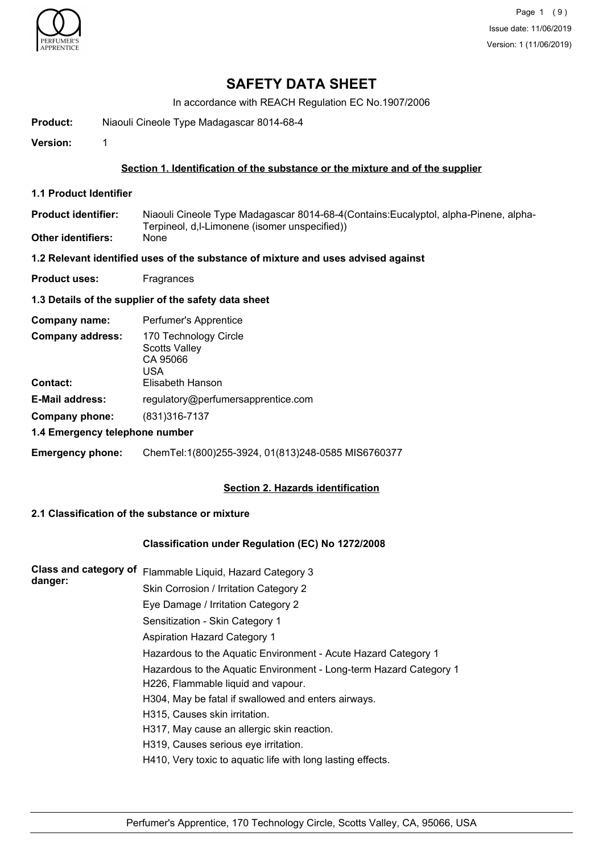

## **SAFETY DATA SHEET**

In accordance with REACH Regulation EC No.1907/2006

**Product:** Niaouli Cineole Type Madagascar 8014-68-4

**Version:** 1

#### **Section 1. Identification of the substance or the mixture and of the supplier**

**1.1 Product Identifier**

Niaouli Cineole Type Madagascar 8014-68-4(Contains:Eucalyptol, alpha-Pinene, alpha-Terpineol, d,l-Limonene (isomer unspecified)) **Product identifier: Other identifiers:** 

#### **1.2 Relevant identified uses of the substance of mixture and uses advised against**

**Product uses:** Fragrances

#### **1.3 Details of the supplier of the safety data sheet**

| Company name:                  | Perfumer's Apprentice                                            |  |
|--------------------------------|------------------------------------------------------------------|--|
| <b>Company address:</b>        | 170 Technology Circle<br><b>Scotts Valley</b><br>CA 95066<br>USA |  |
| Contact:                       | Elisabeth Hanson                                                 |  |
| <b>E-Mail address:</b>         | regulatory@perfumersapprentice.com                               |  |
| Company phone:                 | (831) 316-7137                                                   |  |
| 1.4 Emergency telephone number |                                                                  |  |

## **Emergency phone:** ChemTel:1(800)255-3924, 01(813)248-0585 MIS6760377

#### **Section 2. Hazards identification**

## **2.1 Classification of the substance or mixture**

#### **Classification under Regulation (EC) No 1272/2008**

| <b>Class and category of</b><br>danger: | Flammable Liquid, Hazard Category 3                                |
|-----------------------------------------|--------------------------------------------------------------------|
|                                         | Skin Corrosion / Irritation Category 2                             |
|                                         | Eye Damage / Irritation Category 2                                 |
|                                         | Sensitization - Skin Category 1                                    |
|                                         | <b>Aspiration Hazard Category 1</b>                                |
|                                         | Hazardous to the Aquatic Environment - Acute Hazard Category 1     |
|                                         | Hazardous to the Aquatic Environment - Long-term Hazard Category 1 |
|                                         | H226, Flammable liquid and vapour.                                 |
|                                         | H304, May be fatal if swallowed and enters airways.                |
|                                         | H315, Causes skin irritation.                                      |
|                                         | H317, May cause an allergic skin reaction.                         |
|                                         | H319, Causes serious eye irritation.                               |
|                                         | H410, Very toxic to aquatic life with long lasting effects.        |
|                                         |                                                                    |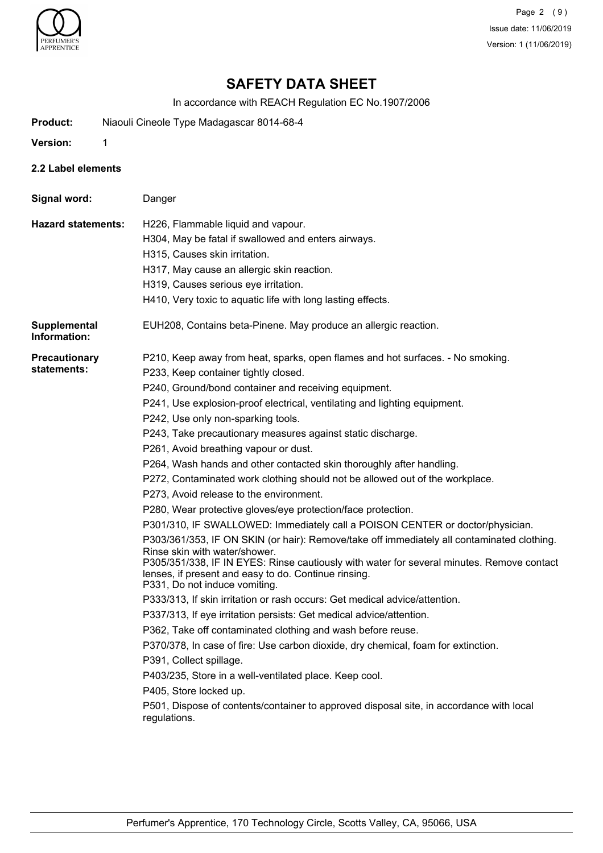

Page 2 (9) Issue date: 11/06/2019 Version: 1 (11/06/2019)

# **SAFETY DATA SHEET**

In accordance with REACH Regulation EC No.1907/2006

- **Product:** Niaouli Cineole Type Madagascar 8014-68-4
- **Version:** 1
- **2.2 Label elements**

| Signal word:                        | Danger                                                                                                                                                                                                                                                                                                                                                                                                                                                                                                                                                                                                                                                                                                                                                                                                                                                                                                                                                                                                                                                                                                                                                                                                                                                                                                                                                                                                                                                                                                                                                                                                                |
|-------------------------------------|-----------------------------------------------------------------------------------------------------------------------------------------------------------------------------------------------------------------------------------------------------------------------------------------------------------------------------------------------------------------------------------------------------------------------------------------------------------------------------------------------------------------------------------------------------------------------------------------------------------------------------------------------------------------------------------------------------------------------------------------------------------------------------------------------------------------------------------------------------------------------------------------------------------------------------------------------------------------------------------------------------------------------------------------------------------------------------------------------------------------------------------------------------------------------------------------------------------------------------------------------------------------------------------------------------------------------------------------------------------------------------------------------------------------------------------------------------------------------------------------------------------------------------------------------------------------------------------------------------------------------|
| <b>Hazard statements:</b>           | H226, Flammable liquid and vapour.<br>H304, May be fatal if swallowed and enters airways.<br>H315, Causes skin irritation.<br>H317, May cause an allergic skin reaction.<br>H319, Causes serious eye irritation.                                                                                                                                                                                                                                                                                                                                                                                                                                                                                                                                                                                                                                                                                                                                                                                                                                                                                                                                                                                                                                                                                                                                                                                                                                                                                                                                                                                                      |
|                                     | H410, Very toxic to aquatic life with long lasting effects.                                                                                                                                                                                                                                                                                                                                                                                                                                                                                                                                                                                                                                                                                                                                                                                                                                                                                                                                                                                                                                                                                                                                                                                                                                                                                                                                                                                                                                                                                                                                                           |
| <b>Supplemental</b><br>Information: | EUH208, Contains beta-Pinene. May produce an allergic reaction.                                                                                                                                                                                                                                                                                                                                                                                                                                                                                                                                                                                                                                                                                                                                                                                                                                                                                                                                                                                                                                                                                                                                                                                                                                                                                                                                                                                                                                                                                                                                                       |
| <b>Precautionary</b><br>statements: | P210, Keep away from heat, sparks, open flames and hot surfaces. - No smoking.<br>P233, Keep container tightly closed.<br>P240, Ground/bond container and receiving equipment.<br>P241, Use explosion-proof electrical, ventilating and lighting equipment.<br>P242, Use only non-sparking tools.<br>P243, Take precautionary measures against static discharge.<br>P261, Avoid breathing vapour or dust.<br>P264, Wash hands and other contacted skin thoroughly after handling.<br>P272, Contaminated work clothing should not be allowed out of the workplace.<br>P273, Avoid release to the environment.<br>P280, Wear protective gloves/eye protection/face protection.<br>P301/310, IF SWALLOWED: Immediately call a POISON CENTER or doctor/physician.<br>P303/361/353, IF ON SKIN (or hair): Remove/take off immediately all contaminated clothing.<br>Rinse skin with water/shower.<br>P305/351/338, IF IN EYES: Rinse cautiously with water for several minutes. Remove contact<br>lenses, if present and easy to do. Continue rinsing.<br>P331, Do not induce vomiting.<br>P333/313, If skin irritation or rash occurs: Get medical advice/attention.<br>P337/313, If eye irritation persists: Get medical advice/attention.<br>P362, Take off contaminated clothing and wash before reuse.<br>P370/378, In case of fire: Use carbon dioxide, dry chemical, foam for extinction.<br>P391, Collect spillage.<br>P403/235, Store in a well-ventilated place. Keep cool.<br>P405, Store locked up.<br>P501, Dispose of contents/container to approved disposal site, in accordance with local<br>regulations. |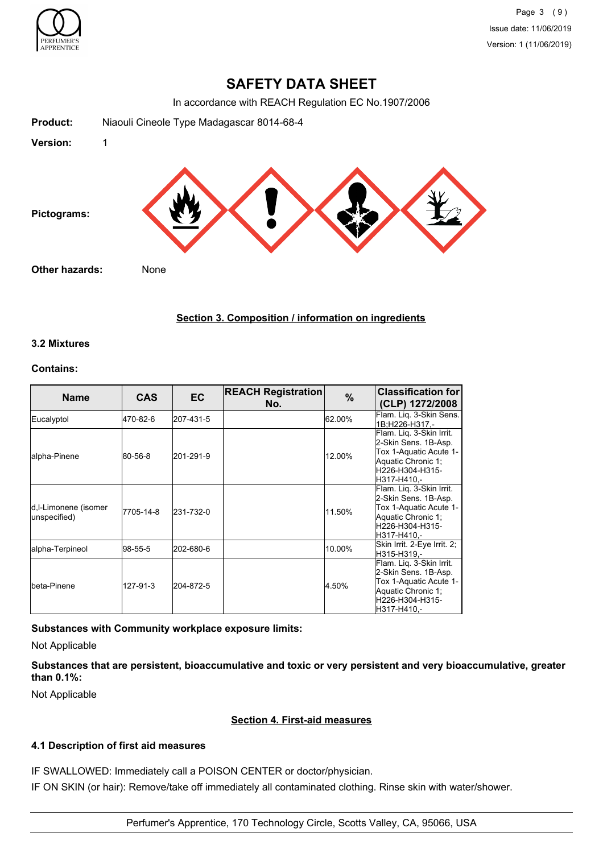

## **SAFETY DATA SHEET**

In accordance with REACH Regulation EC No.1907/2006

| Niaouli Cineole Type Madagascar 8014-68-4 |
|-------------------------------------------|
| 1                                         |
|                                           |
| Other hazards:<br>None                    |
|                                           |

## **Section 3. Composition / information on ingredients**

## **3.2 Mixtures**

## **Contains:**

| <b>Name</b>                          | <b>CAS</b> | <b>EC</b> | <b>REACH Registration</b><br>No. | $\frac{9}{6}$ | <b>Classification for</b><br>(CLP) 1272/2008                                                                                       |
|--------------------------------------|------------|-----------|----------------------------------|---------------|------------------------------------------------------------------------------------------------------------------------------------|
| Eucalyptol                           | 470-82-6   | 207-431-5 |                                  | 62.00%        | Flam. Lig. 3-Skin Sens.<br>1B:H226-H317.-                                                                                          |
| lalpha-Pinene                        | 80-56-8    | 201-291-9 |                                  | 12.00%        | Flam. Liq. 3-Skin Irrit.<br>2-Skin Sens. 1B-Asp.<br>Tox 1-Aquatic Acute 1-<br>Aquatic Chronic 1;<br>H226-H304-H315-<br>H317-H410.- |
| d,I-Limonene (isomer<br>unspecified) | 7705-14-8  | 231-732-0 |                                  | 11.50%        | Flam. Liq. 3-Skin Irrit.<br>2-Skin Sens. 1B-Asp.<br>Tox 1-Aquatic Acute 1-<br>Aquatic Chronic 1;<br>H226-H304-H315-<br>H317-H410.- |
| alpha-Terpineol                      | 98-55-5    | 202-680-6 |                                  | 10.00%        | Skin Irrit. 2-Eye Irrit. 2;<br>H315-H319.-                                                                                         |
| Ibeta-Pinene                         | 127-91-3   | 204-872-5 |                                  | 4.50%         | Flam. Lig. 3-Skin Irrit.<br>2-Skin Sens. 1B-Asp.<br>Tox 1-Aquatic Acute 1-<br>Aquatic Chronic 1;<br>H226-H304-H315-<br>H317-H410.- |

## **Substances with Community workplace exposure limits:**

Not Applicable

**Substances that are persistent, bioaccumulative and toxic or very persistent and very bioaccumulative, greater than 0.1%:**

Not Applicable

## **Section 4. First-aid measures**

## **4.1 Description of first aid measures**

IF SWALLOWED: Immediately call a POISON CENTER or doctor/physician. IF ON SKIN (or hair): Remove/take off immediately all contaminated clothing. Rinse skin with water/shower.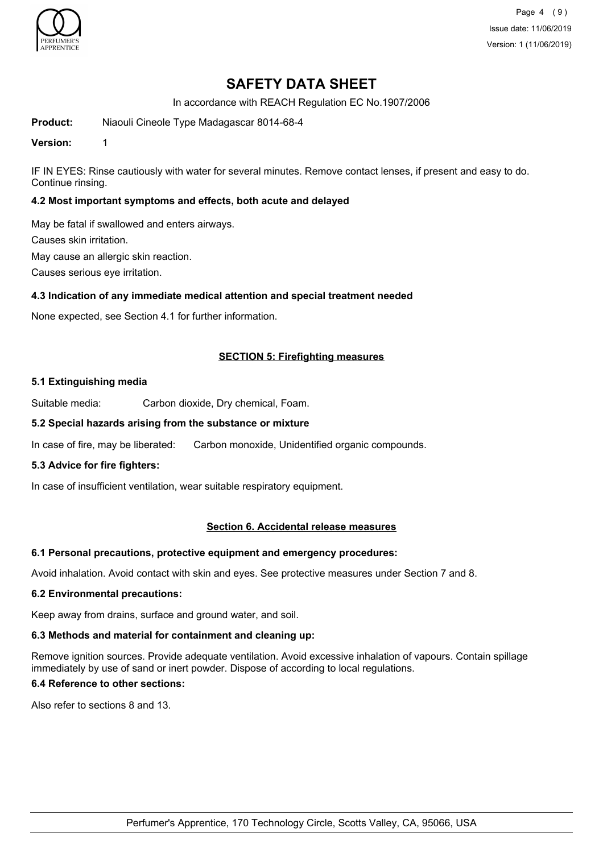

Page 4 (9) Issue date: 11/06/2019 Version: 1 (11/06/2019)

## **SAFETY DATA SHEET**

In accordance with REACH Regulation EC No.1907/2006

**Product:** Niaouli Cineole Type Madagascar 8014-68-4

**Version:** 1

IF IN EYES: Rinse cautiously with water for several minutes. Remove contact lenses, if present and easy to do. Continue rinsing.

## **4.2 Most important symptoms and effects, both acute and delayed**

May be fatal if swallowed and enters airways.

Causes skin irritation.

May cause an allergic skin reaction.

Causes serious eye irritation.

#### **4.3 Indication of any immediate medical attention and special treatment needed**

None expected, see Section 4.1 for further information.

## **SECTION 5: Firefighting measures**

#### **5.1 Extinguishing media**

Suitable media: Carbon dioxide, Dry chemical, Foam.

#### **5.2 Special hazards arising from the substance or mixture**

In case of fire, may be liberated: Carbon monoxide, Unidentified organic compounds.

#### **5.3 Advice for fire fighters:**

In case of insufficient ventilation, wear suitable respiratory equipment.

## **Section 6. Accidental release measures**

#### **6.1 Personal precautions, protective equipment and emergency procedures:**

Avoid inhalation. Avoid contact with skin and eyes. See protective measures under Section 7 and 8.

#### **6.2 Environmental precautions:**

Keep away from drains, surface and ground water, and soil.

#### **6.3 Methods and material for containment and cleaning up:**

Remove ignition sources. Provide adequate ventilation. Avoid excessive inhalation of vapours. Contain spillage immediately by use of sand or inert powder. Dispose of according to local regulations.

## **6.4 Reference to other sections:**

Also refer to sections 8 and 13.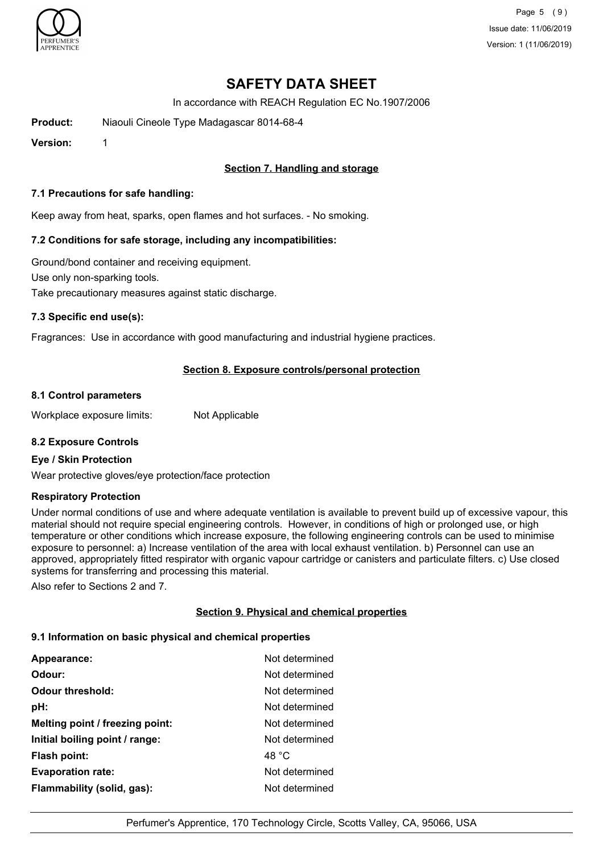

Page 5 (9) Issue date: 11/06/2019 Version: 1 (11/06/2019)

# **SAFETY DATA SHEET**

In accordance with REACH Regulation EC No.1907/2006

**Product:** Niaouli Cineole Type Madagascar 8014-68-4

**Version:** 1

## **Section 7. Handling and storage**

#### **7.1 Precautions for safe handling:**

Keep away from heat, sparks, open flames and hot surfaces. - No smoking.

#### **7.2 Conditions for safe storage, including any incompatibilities:**

Ground/bond container and receiving equipment. Use only non-sparking tools. Take precautionary measures against static discharge.

#### **7.3 Specific end use(s):**

Fragrances: Use in accordance with good manufacturing and industrial hygiene practices.

## **Section 8. Exposure controls/personal protection**

#### **8.1 Control parameters**

Workplace exposure limits: Not Applicable

## **8.2 Exposure Controls**

#### **Eye / Skin Protection**

Wear protective gloves/eye protection/face protection

#### **Respiratory Protection**

Under normal conditions of use and where adequate ventilation is available to prevent build up of excessive vapour, this material should not require special engineering controls. However, in conditions of high or prolonged use, or high temperature or other conditions which increase exposure, the following engineering controls can be used to minimise exposure to personnel: a) Increase ventilation of the area with local exhaust ventilation. b) Personnel can use an approved, appropriately fitted respirator with organic vapour cartridge or canisters and particulate filters. c) Use closed systems for transferring and processing this material.

Also refer to Sections 2 and 7.

## **Section 9. Physical and chemical properties**

#### **9.1 Information on basic physical and chemical properties**

| Appearance:                     | Not determined |
|---------------------------------|----------------|
| Odour:                          | Not determined |
| <b>Odour threshold:</b>         | Not determined |
| pH:                             | Not determined |
| Melting point / freezing point: | Not determined |
| Initial boiling point / range:  | Not determined |
| <b>Flash point:</b>             | 48 °C          |
| <b>Evaporation rate:</b>        | Not determined |
| Flammability (solid, gas):      | Not determined |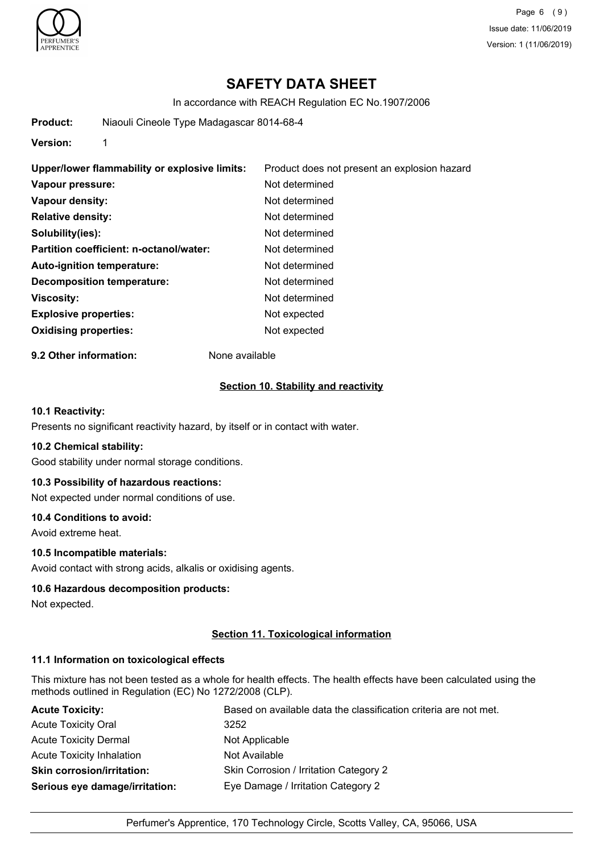

Page 6 (9) Issue date: 11/06/2019 Version: 1 (11/06/2019)

## **SAFETY DATA SHEET**

In accordance with REACH Regulation EC No.1907/2006

**Product:** Niaouli Cineole Type Madagascar 8014-68-4

**Version:** 1

| Upper/lower flammability or explosive limits: | Product does not present an explosion hazard |
|-----------------------------------------------|----------------------------------------------|
| Vapour pressure:                              | Not determined                               |
| Vapour density:                               | Not determined                               |
| <b>Relative density:</b>                      | Not determined                               |
| Solubility(ies):                              | Not determined                               |
| Partition coefficient: n-octanol/water:       | Not determined                               |
| Auto-ignition temperature:                    | Not determined                               |
| Decomposition temperature:                    | Not determined                               |
| <b>Viscosity:</b>                             | Not determined                               |
| <b>Explosive properties:</b>                  | Not expected                                 |
| <b>Oxidising properties:</b>                  | Not expected                                 |

**9.2 Other information:** None available

#### **Section 10. Stability and reactivity**

## **10.1 Reactivity:**

Presents no significant reactivity hazard, by itself or in contact with water.

#### **10.2 Chemical stability:**

Good stability under normal storage conditions.

#### **10.3 Possibility of hazardous reactions:**

Not expected under normal conditions of use.

#### **10.4 Conditions to avoid:**

Avoid extreme heat.

## **10.5 Incompatible materials:**

Avoid contact with strong acids, alkalis or oxidising agents.

#### **10.6 Hazardous decomposition products:**

Not expected.

## **Section 11. Toxicological information**

#### **11.1 Information on toxicological effects**

This mixture has not been tested as a whole for health effects. The health effects have been calculated using the methods outlined in Regulation (EC) No 1272/2008 (CLP).

| <b>Acute Toxicity:</b>            | Based on available data the classification criteria are not met. |
|-----------------------------------|------------------------------------------------------------------|
| <b>Acute Toxicity Oral</b>        | 3252                                                             |
| <b>Acute Toxicity Dermal</b>      | Not Applicable                                                   |
| Acute Toxicity Inhalation         | Not Available                                                    |
| <b>Skin corrosion/irritation:</b> | Skin Corrosion / Irritation Category 2                           |
| Serious eye damage/irritation:    | Eye Damage / Irritation Category 2                               |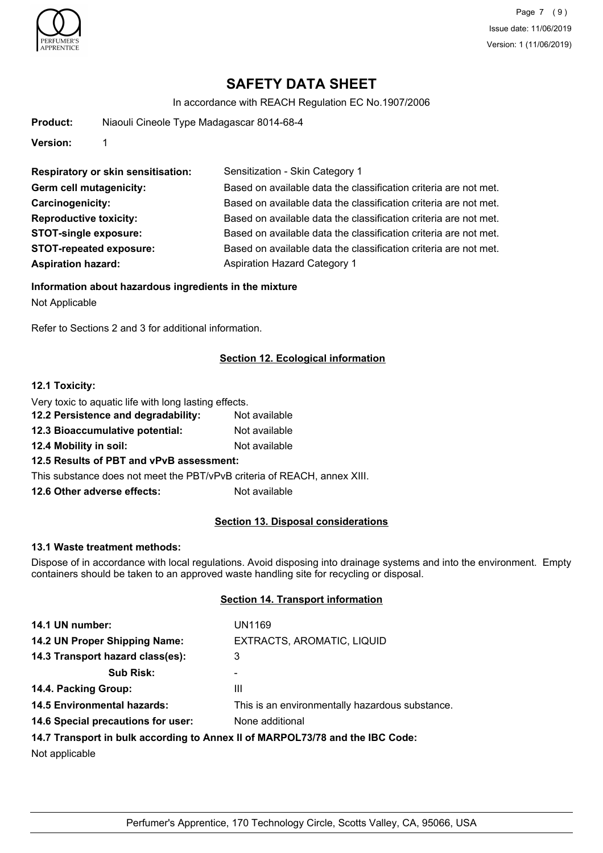

Page 7 (9) Issue date: 11/06/2019 Version: 1 (11/06/2019)

# **SAFETY DATA SHEET**

In accordance with REACH Regulation EC No.1907/2006

| Product:                       | Niaouli Cineole Type Madagascar 8014-68-4 |                                                                  |
|--------------------------------|-------------------------------------------|------------------------------------------------------------------|
| Version:                       |                                           |                                                                  |
|                                | <b>Respiratory or skin sensitisation:</b> | Sensitization - Skin Category 1                                  |
| Germ cell mutagenicity:        |                                           | Based on available data the classification criteria are not met. |
| Carcinogenicity:               |                                           | Based on available data the classification criteria are not met. |
| <b>Reproductive toxicity:</b>  |                                           | Based on available data the classification criteria are not met. |
|                                | <b>STOT-single exposure:</b>              | Based on available data the classification criteria are not met. |
| <b>STOT-repeated exposure:</b> |                                           | Based on available data the classification criteria are not met. |
| <b>Aspiration hazard:</b>      |                                           | Aspiration Hazard Category 1                                     |
|                                |                                           |                                                                  |

#### **Information about hazardous ingredients in the mixture**

Not Applicable

Refer to Sections 2 and 3 for additional information.

## **Section 12. Ecological information**

#### **12.1 Toxicity:**

Very toxic to aquatic life with long lasting effects.

- **12.2 Persistence and degradability:** Not available
- **12.3 Bioaccumulative potential:** Not available
- **12.4 Mobility in soil:** Not available

## **12.5 Results of PBT and vPvB assessment:**

This substance does not meet the PBT/vPvB criteria of REACH, annex XIII.

**12.6 Other adverse effects:** Not available

## **Section 13. Disposal considerations**

#### **13.1 Waste treatment methods:**

Dispose of in accordance with local regulations. Avoid disposing into drainage systems and into the environment. Empty containers should be taken to an approved waste handling site for recycling or disposal.

#### **Section 14. Transport information**

| 14.1 UN number:                                                               | UN1169                                          |  |
|-------------------------------------------------------------------------------|-------------------------------------------------|--|
| 14.2 UN Proper Shipping Name:                                                 | EXTRACTS, AROMATIC, LIQUID                      |  |
| 14.3 Transport hazard class(es):                                              | 3                                               |  |
| <b>Sub Risk:</b>                                                              | ٠                                               |  |
| 14.4. Packing Group:                                                          | Ш                                               |  |
| <b>14.5 Environmental hazards:</b>                                            | This is an environmentally hazardous substance. |  |
| 14.6 Special precautions for user:                                            | None additional                                 |  |
| 14.7 Transport in bulk according to Annex II of MARPOL73/78 and the IBC Code: |                                                 |  |
|                                                                               |                                                 |  |

Not applicable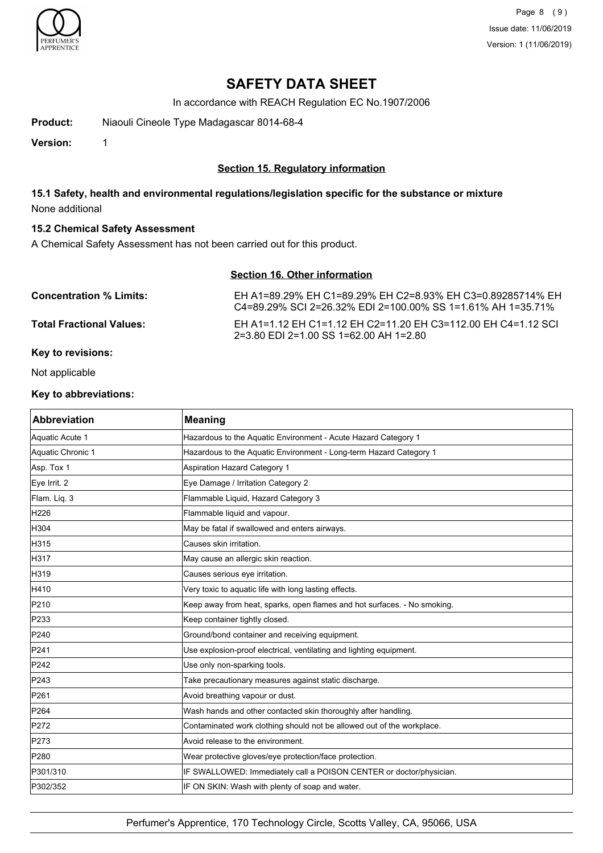

Page 8 (9) Issue date: 11/06/2019 Version: 1 (11/06/2019)

## **SAFETY DATA SHEET**

In accordance with REACH Regulation EC No.1907/2006

**Product:** Niaouli Cineole Type Madagascar 8014-68-4

**Version:** 1

## **Section 15. Regulatory information**

## **15.1 Safety, health and environmental regulations/legislation specific for the substance or mixture** None additional

#### **15.2 Chemical Safety Assessment**

A Chemical Safety Assessment has not been carried out for this product.

## **Section 16. Other information**

| <b>Concentration % Limits:</b>  | EH A1=89.29% EH C1=89.29% EH C2=8.93% EH C3=0.89285714% EH<br>C4=89.29% SCI 2=26.32% EDI 2=100.00% SS 1=1.61% AH 1=35.71% |
|---------------------------------|---------------------------------------------------------------------------------------------------------------------------|
| <b>Total Fractional Values:</b> | EH A1=1.12 EH C1=1.12 EH C2=11.20 EH C3=112.00 EH C4=1.12 SCL<br>$2=3.80$ EDI 2=1.00 SS 1=62.00 AH 1=2.80                 |
|                                 |                                                                                                                           |

## **Key to revisions:**

Not applicable

## **Key to abbreviations:**

| <b>Abbreviation</b> | <b>Meaning</b>                                                           |
|---------------------|--------------------------------------------------------------------------|
| Aquatic Acute 1     | Hazardous to the Aquatic Environment - Acute Hazard Category 1           |
| Aquatic Chronic 1   | Hazardous to the Aquatic Environment - Long-term Hazard Category 1       |
| Asp. Tox 1          | <b>Aspiration Hazard Category 1</b>                                      |
| Eye Irrit. 2        | Eye Damage / Irritation Category 2                                       |
| Flam. Liq. 3        | Flammable Liquid, Hazard Category 3                                      |
| H <sub>226</sub>    | Flammable liquid and vapour.                                             |
| H304                | May be fatal if swallowed and enters airways.                            |
| H315                | Causes skin irritation.                                                  |
| H317                | May cause an allergic skin reaction.                                     |
| H319                | Causes serious eye irritation.                                           |
| H410                | Very toxic to aquatic life with long lasting effects.                    |
| P210                | Keep away from heat, sparks, open flames and hot surfaces. - No smoking. |
| P233                | Keep container tightly closed.                                           |
| P240                | Ground/bond container and receiving equipment.                           |
| P241                | Use explosion-proof electrical, ventilating and lighting equipment.      |
| P242                | Use only non-sparking tools.                                             |
| P243                | Take precautionary measures against static discharge.                    |
| P <sub>261</sub>    | Avoid breathing vapour or dust.                                          |
| P <sub>264</sub>    | Wash hands and other contacted skin thoroughly after handling.           |
| P272                | Contaminated work clothing should not be allowed out of the workplace.   |
| P273                | Avoid release to the environment.                                        |
| P280                | Wear protective gloves/eye protection/face protection.                   |
| P301/310            | IF SWALLOWED: Immediately call a POISON CENTER or doctor/physician.      |
| P302/352            | IF ON SKIN: Wash with plenty of soap and water.                          |